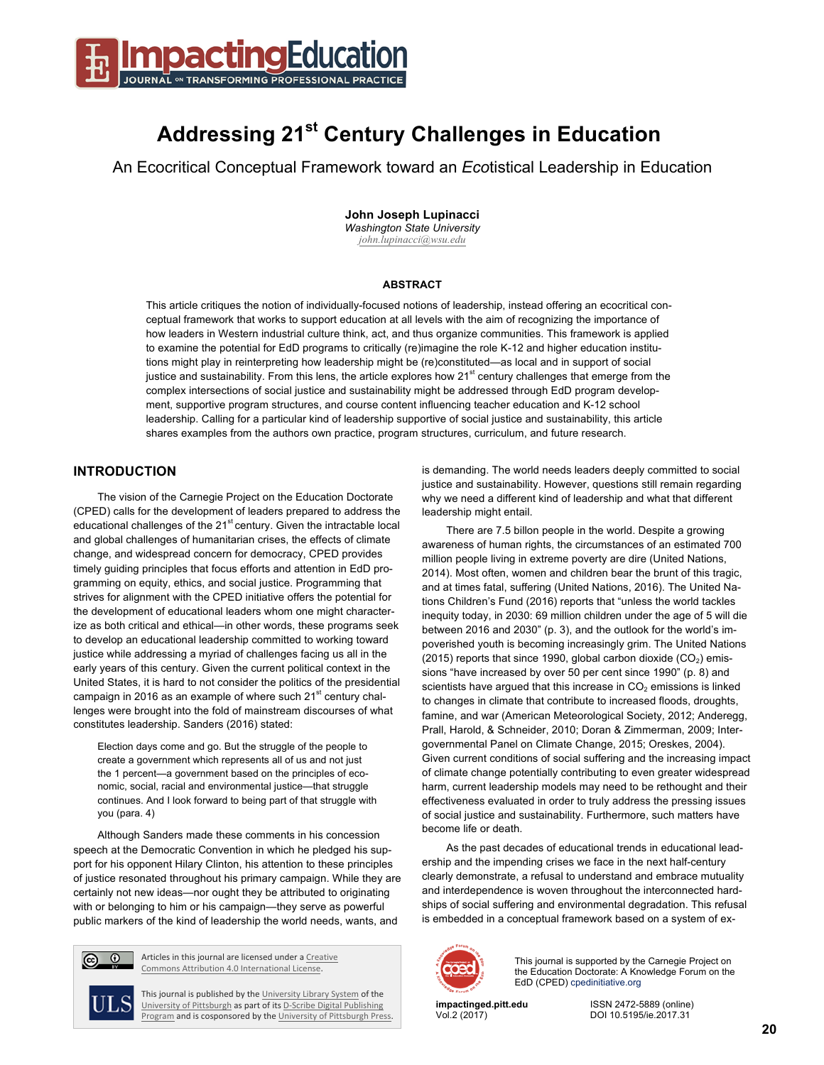

# **Addressing 21st Century Challenges in Education**

An Ecocritical Conceptual Framework toward an *Eco*tistical Leadership in Education

**John Joseph Lupinacci**

*Washington State University john.lupinacci@wsu.edu*

#### **ABSTRACT**

This article critiques the notion of individually-focused notions of leadership, instead offering an ecocritical conceptual framework that works to support education at all levels with the aim of recognizing the importance of how leaders in Western industrial culture think, act, and thus organize communities. This framework is applied to examine the potential for EdD programs to critically (re)imagine the role K-12 and higher education institutions might play in reinterpreting how leadership might be (re)constituted—as local and in support of social justice and sustainability. From this lens, the article explores how  $21<sup>st</sup>$  century challenges that emerge from the complex intersections of social justice and sustainability might be addressed through EdD program development, supportive program structures, and course content influencing teacher education and K-12 school leadership. Calling for a particular kind of leadership supportive of social justice and sustainability, this article shares examples from the authors own practice, program structures, curriculum, and future research.

## **INTRODUCTION**

The vision of the Carnegie Project on the Education Doctorate (CPED) calls for the development of leaders prepared to address the educational challenges of the 21<sup>st</sup> century. Given the intractable local and global challenges of humanitarian crises, the effects of climate change, and widespread concern for democracy, CPED provides timely guiding principles that focus efforts and attention in EdD programming on equity, ethics, and social justice. Programming that strives for alignment with the CPED initiative offers the potential for the development of educational leaders whom one might characterize as both critical and ethical—in other words, these programs seek to develop an educational leadership committed to working toward justice while addressing a myriad of challenges facing us all in the early years of this century. Given the current political context in the United States, it is hard to not consider the politics of the presidential campaign in 2016 as an example of where such  $21<sup>st</sup>$  century challenges were brought into the fold of mainstream discourses of what constitutes leadership. Sanders (2016) stated:

Election days come and go. But the struggle of the people to create a government which represents all of us and not just the 1 percent—a government based on the principles of economic, social, racial and environmental justice—that struggle continues. And I look forward to being part of that struggle with you (para. 4)

Although Sanders made these comments in his concession speech at the Democratic Convention in which he pledged his support for his opponent Hilary Clinton, his attention to these principles of justice resonated throughout his primary campaign. While they are certainly not new ideas—nor ought they be attributed to originating with or belonging to him or his campaign—they serve as powerful public markers of the kind of leadership the world needs, wants, and

> Articles in this journal are licensed under a Creative Commons Attribution 4.0 International License.

This journal is published by the University Library System of the University of Pittsburgh as part of its D-Scribe Digital Publishing Program and is cosponsored by the University of Pittsburgh Press. is demanding. The world needs leaders deeply committed to social justice and sustainability. However, questions still remain regarding why we need a different kind of leadership and what that different leadership might entail.

There are 7.5 billon people in the world. Despite a growing awareness of human rights, the circumstances of an estimated 700 million people living in extreme poverty are dire (United Nations, 2014). Most often, women and children bear the brunt of this tragic, and at times fatal, suffering (United Nations, 2016). The United Nations Children's Fund (2016) reports that "unless the world tackles inequity today, in 2030: 69 million children under the age of 5 will die between 2016 and 2030" (p. 3), and the outlook for the world's impoverished youth is becoming increasingly grim. The United Nations (2015) reports that since 1990, global carbon dioxide  $(CO<sub>2</sub>)$  emissions "have increased by over 50 per cent since 1990" (p. 8) and scientists have argued that this increase in  $CO<sub>2</sub>$  emissions is linked to changes in climate that contribute to increased floods, droughts, famine, and war (American Meteorological Society, 2012; Anderegg, Prall, Harold, & Schneider, 2010; Doran & Zimmerman, 2009; Intergovernmental Panel on Climate Change, 2015; Oreskes, 2004). Given current conditions of social suffering and the increasing impact of climate change potentially contributing to even greater widespread harm, current leadership models may need to be rethought and their effectiveness evaluated in order to truly address the pressing issues of social justice and sustainability. Furthermore, such matters have become life or death.

As the past decades of educational trends in educational leadership and the impending crises we face in the next half-century clearly demonstrate, a refusal to understand and embrace mutuality and interdependence is woven throughout the interconnected hardships of social suffering and environmental degradation. This refusal is embedded in a conceptual framework based on a system of ex-



This journal is supported by the Carnegie Project on the Education Doctorate: A Knowledge Forum on the EdD (CPED) cpedinitiative.org

**impactinged.pitt.edu** ISSN 2472-5889 (online) Vol.2 (2017) DOI 10.5195/ie.2017.31

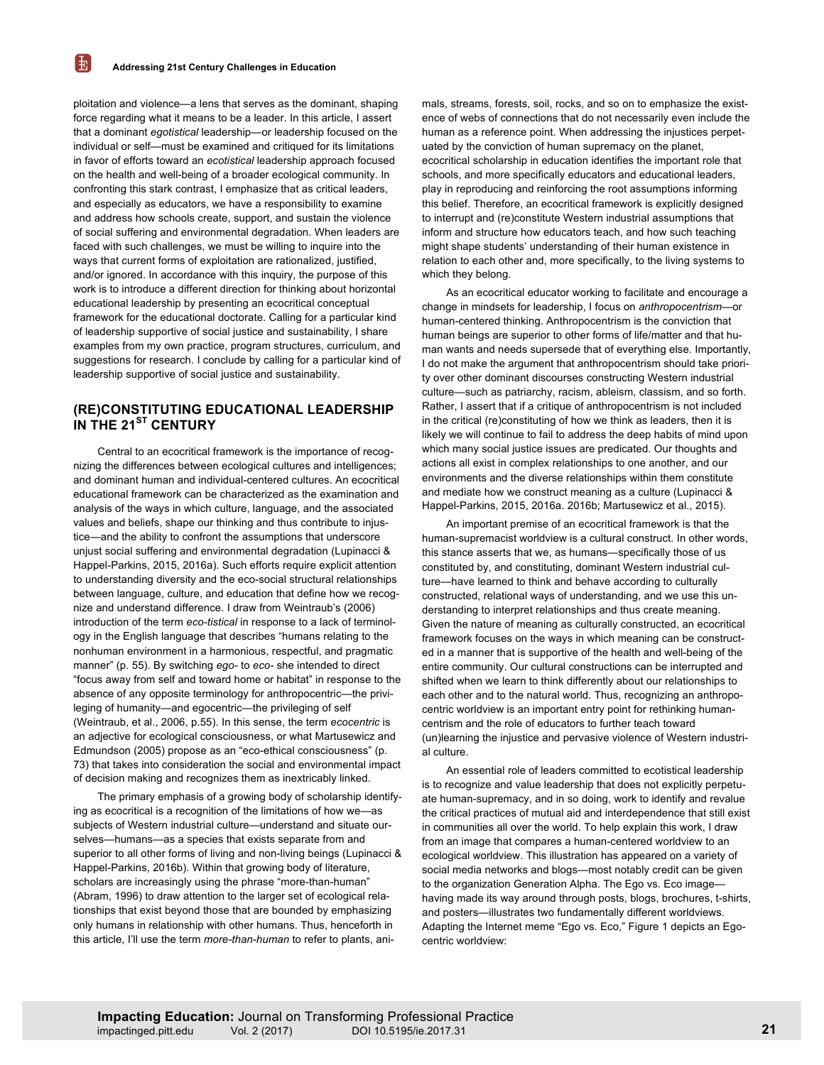亜

ploitation and violence—a lens that serves as the dominant, shaping force regarding what it means to be a leader. In this article, I assert that a dominant *egotistical* leadership—or leadership focused on the individual or self—must be examined and critiqued for its limitations in favor of efforts toward an *ecotistical* leadership approach focused on the health and well-being of a broader ecological community. In confronting this stark contrast, I emphasize that as critical leaders, and especially as educators, we have a responsibility to examine and address how schools create, support, and sustain the violence of social suffering and environmental degradation. When leaders are faced with such challenges, we must be willing to inquire into the ways that current forms of exploitation are rationalized, justified, and/or ignored. In accordance with this inquiry, the purpose of this work is to introduce a different direction for thinking about horizontal educational leadership by presenting an ecocritical conceptual framework for the educational doctorate. Calling for a particular kind of leadership supportive of social justice and sustainability, I share examples from my own practice, program structures, curriculum, and suggestions for research. I conclude by calling for a particular kind of leadership supportive of social justice and sustainability.

# **(RE)CONSTITUTING EDUCATIONAL LEADERSHIP IN THE 21ST CENTURY**

Central to an ecocritical framework is the importance of recognizing the differences between ecological cultures and intelligences; and dominant human and individual-centered cultures. An ecocritical educational framework can be characterized as the examination and analysis of the ways in which culture, language, and the associated values and beliefs, shape our thinking and thus contribute to injustice—and the ability to confront the assumptions that underscore unjust social suffering and environmental degradation (Lupinacci & Happel-Parkins, 2015, 2016a). Such efforts require explicit attention to understanding diversity and the eco-social structural relationships between language, culture, and education that define how we recognize and understand difference. I draw from Weintraub's (2006) introduction of the term *eco-tistical* in response to a lack of terminology in the English language that describes "humans relating to the nonhuman environment in a harmonious, respectful, and pragmatic manner" (p. 55). By switching *ego-* to *eco-* she intended to direct "focus away from self and toward home or habitat" in response to the absence of any opposite terminology for anthropocentric—the privileging of humanity—and egocentric—the privileging of self (Weintraub, et al., 2006, p.55). In this sense, the term *ecocentric* is an adjective for ecological consciousness, or what Martusewicz and Edmundson (2005) propose as an "eco-ethical consciousness" (p. 73) that takes into consideration the social and environmental impact of decision making and recognizes them as inextricably linked.

The primary emphasis of a growing body of scholarship identifying as ecocritical is a recognition of the limitations of how we—as subjects of Western industrial culture—understand and situate ourselves—humans—as a species that exists separate from and superior to all other forms of living and non-living beings (Lupinacci & Happel-Parkins, 2016b). Within that growing body of literature, scholars are increasingly using the phrase "more-than-human" (Abram, 1996) to draw attention to the larger set of ecological relationships that exist beyond those that are bounded by emphasizing only humans in relationship with other humans. Thus, henceforth in this article, I'll use the term *more-than-human* to refer to plants, animals, streams, forests, soil, rocks, and so on to emphasize the existence of webs of connections that do not necessarily even include the human as a reference point. When addressing the injustices perpetuated by the conviction of human supremacy on the planet, ecocritical scholarship in education identifies the important role that schools, and more specifically educators and educational leaders, play in reproducing and reinforcing the root assumptions informing this belief. Therefore, an ecocritical framework is explicitly designed to interrupt and (re)constitute Western industrial assumptions that inform and structure how educators teach, and how such teaching might shape students' understanding of their human existence in relation to each other and, more specifically, to the living systems to which they belong.

As an ecocritical educator working to facilitate and encourage a change in mindsets for leadership, I focus on *anthropocentrism*—or human-centered thinking. Anthropocentrism is the conviction that human beings are superior to other forms of life/matter and that human wants and needs supersede that of everything else. Importantly, I do not make the argument that anthropocentrism should take priority over other dominant discourses constructing Western industrial culture—such as patriarchy, racism, ableism, classism, and so forth. Rather, I assert that if a critique of anthropocentrism is not included in the critical (re)constituting of how we think as leaders, then it is likely we will continue to fail to address the deep habits of mind upon which many social justice issues are predicated. Our thoughts and actions all exist in complex relationships to one another, and our environments and the diverse relationships within them constitute and mediate how we construct meaning as a culture (Lupinacci & Happel-Parkins, 2015, 2016a. 2016b; Martusewicz et al., 2015).

An important premise of an ecocritical framework is that the human-supremacist worldview is a cultural construct. In other words, this stance asserts that we, as humans—specifically those of us constituted by, and constituting, dominant Western industrial culture—have learned to think and behave according to culturally constructed, relational ways of understanding, and we use this understanding to interpret relationships and thus create meaning. Given the nature of meaning as culturally constructed, an ecocritical framework focuses on the ways in which meaning can be constructed in a manner that is supportive of the health and well-being of the entire community. Our cultural constructions can be interrupted and shifted when we learn to think differently about our relationships to each other and to the natural world. Thus, recognizing an anthropocentric worldview is an important entry point for rethinking humancentrism and the role of educators to further teach toward (un)learning the injustice and pervasive violence of Western industrial culture.

An essential role of leaders committed to ecotistical leadership is to recognize and value leadership that does not explicitly perpetuate human-supremacy, and in so doing, work to identify and revalue the critical practices of mutual aid and interdependence that still exist in communities all over the world. To help explain this work, I draw from an image that compares a human-centered worldview to an ecological worldview. This illustration has appeared on a variety of social media networks and blogs—most notably credit can be given to the organization Generation Alpha. The Ego vs. Eco image having made its way around through posts, blogs, brochures, t-shirts, and posters—illustrates two fundamentally different worldviews. Adapting the Internet meme "Ego vs. Eco," Figure 1 depicts an Egocentric worldview: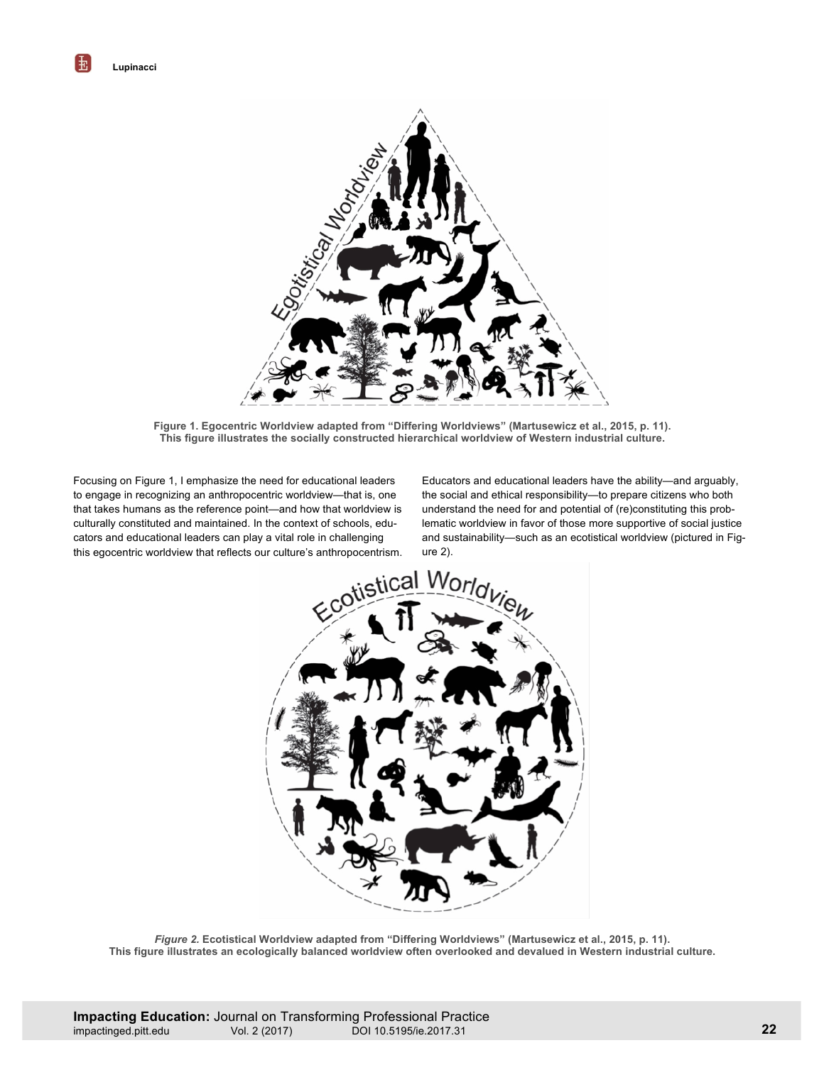



**Figure 1. Egocentric Worldview adapted from "Differing Worldviews" (Martusewicz et al., 2015, p. 11). This figure illustrates the socially constructed hierarchical worldview of Western industrial culture.**

Focusing on Figure 1, I emphasize the need for educational leaders to engage in recognizing an anthropocentric worldview—that is, one that takes humans as the reference point—and how that worldview is culturally constituted and maintained. In the context of schools, educators and educational leaders can play a vital role in challenging this egocentric worldview that reflects our culture's anthropocentrism.

Educators and educational leaders have the ability—and arguably, the social and ethical responsibility—to prepare citizens who both understand the need for and potential of (re)constituting this problematic worldview in favor of those more supportive of social justice and sustainability—such as an ecotistical worldview (pictured in Figure 2).



*Figure 2.* **Ecotistical Worldview adapted from "Differing Worldviews" (Martusewicz et al., 2015, p. 11). This figure illustrates an ecologically balanced worldview often overlooked and devalued in Western industrial culture.**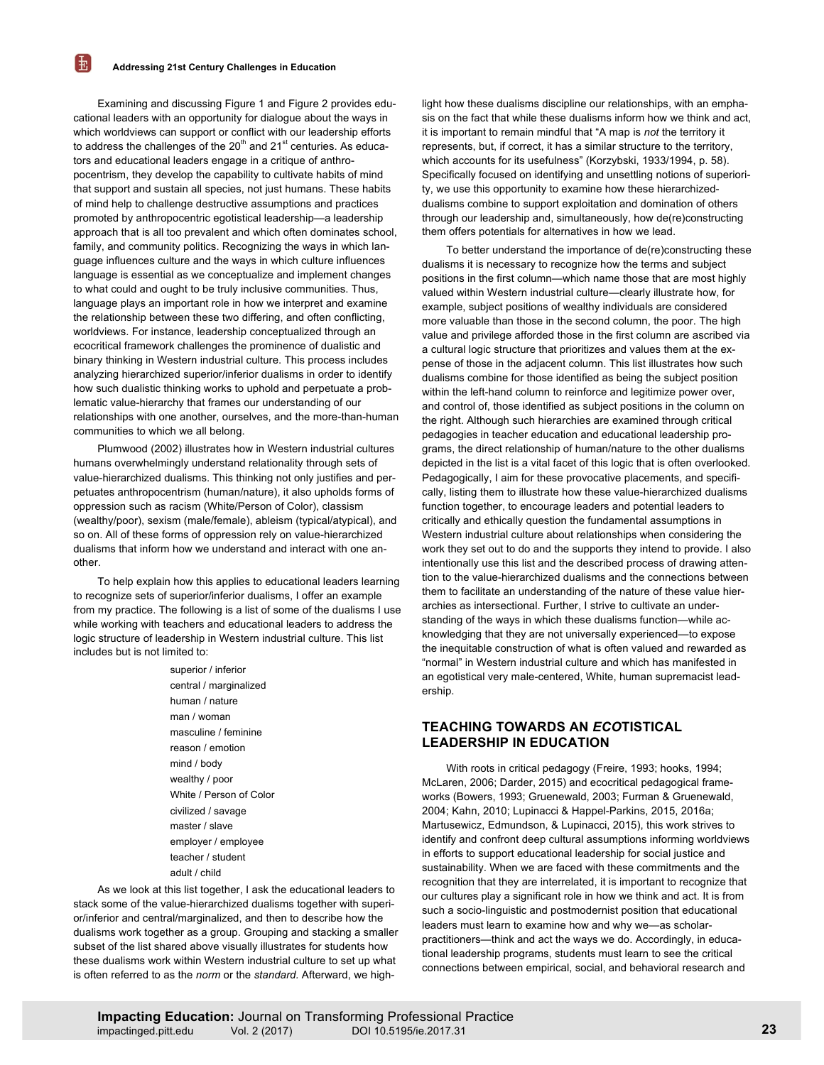围

Examining and discussing Figure 1 and Figure 2 provides educational leaders with an opportunity for dialogue about the ways in which worldviews can support or conflict with our leadership efforts to address the challenges of the  $20<sup>th</sup>$  and  $21<sup>st</sup>$  centuries. As educators and educational leaders engage in a critique of anthropocentrism, they develop the capability to cultivate habits of mind that support and sustain all species, not just humans. These habits of mind help to challenge destructive assumptions and practices promoted by anthropocentric egotistical leadership—a leadership approach that is all too prevalent and which often dominates school, family, and community politics. Recognizing the ways in which language influences culture and the ways in which culture influences language is essential as we conceptualize and implement changes to what could and ought to be truly inclusive communities. Thus, language plays an important role in how we interpret and examine the relationship between these two differing, and often conflicting, worldviews. For instance, leadership conceptualized through an ecocritical framework challenges the prominence of dualistic and binary thinking in Western industrial culture. This process includes analyzing hierarchized superior/inferior dualisms in order to identify how such dualistic thinking works to uphold and perpetuate a problematic value-hierarchy that frames our understanding of our relationships with one another, ourselves, and the more-than-human communities to which we all belong.

Plumwood (2002) illustrates how in Western industrial cultures humans overwhelmingly understand relationality through sets of value-hierarchized dualisms. This thinking not only justifies and perpetuates anthropocentrism (human/nature), it also upholds forms of oppression such as racism (White/Person of Color), classism (wealthy/poor), sexism (male/female), ableism (typical/atypical), and so on. All of these forms of oppression rely on value-hierarchized dualisms that inform how we understand and interact with one another.

To help explain how this applies to educational leaders learning to recognize sets of superior/inferior dualisms, I offer an example from my practice. The following is a list of some of the dualisms I use while working with teachers and educational leaders to address the logic structure of leadership in Western industrial culture. This list includes but is not limited to:

> superior / inferior central / marginalized human / nature man / woman masculine / feminine reason / emotion mind / body wealthy / poor White / Person of Color civilized / savage master / slave employer / employee teacher / student adult / child

As we look at this list together, I ask the educational leaders to stack some of the value-hierarchized dualisms together with superior/inferior and central/marginalized, and then to describe how the dualisms work together as a group. Grouping and stacking a smaller subset of the list shared above visually illustrates for students how these dualisms work within Western industrial culture to set up what is often referred to as the *norm* or the *standard.* Afterward, we highlight how these dualisms discipline our relationships, with an emphasis on the fact that while these dualisms inform how we think and act, it is important to remain mindful that "A map is *not* the territory it represents, but, if correct, it has a similar structure to the territory, which accounts for its usefulness" (Korzybski, 1933/1994, p. 58). Specifically focused on identifying and unsettling notions of superiority, we use this opportunity to examine how these hierarchizeddualisms combine to support exploitation and domination of others through our leadership and, simultaneously, how de(re)constructing them offers potentials for alternatives in how we lead.

To better understand the importance of de(re)constructing these dualisms it is necessary to recognize how the terms and subject positions in the first column—which name those that are most highly valued within Western industrial culture—clearly illustrate how, for example, subject positions of wealthy individuals are considered more valuable than those in the second column, the poor. The high value and privilege afforded those in the first column are ascribed via a cultural logic structure that prioritizes and values them at the expense of those in the adjacent column. This list illustrates how such dualisms combine for those identified as being the subject position within the left-hand column to reinforce and legitimize power over, and control of, those identified as subject positions in the column on the right. Although such hierarchies are examined through critical pedagogies in teacher education and educational leadership programs, the direct relationship of human/nature to the other dualisms depicted in the list is a vital facet of this logic that is often overlooked. Pedagogically, I aim for these provocative placements, and specifically, listing them to illustrate how these value-hierarchized dualisms function together, to encourage leaders and potential leaders to critically and ethically question the fundamental assumptions in Western industrial culture about relationships when considering the work they set out to do and the supports they intend to provide. I also intentionally use this list and the described process of drawing attention to the value-hierarchized dualisms and the connections between them to facilitate an understanding of the nature of these value hierarchies as intersectional. Further, I strive to cultivate an understanding of the ways in which these dualisms function—while acknowledging that they are not universally experienced—to expose the inequitable construction of what is often valued and rewarded as "normal" in Western industrial culture and which has manifested in an egotistical very male-centered, White, human supremacist leadership.

# **TEACHING TOWARDS AN** *ECO***TISTICAL LEADERSHIP IN EDUCATION**

With roots in critical pedagogy (Freire, 1993; hooks, 1994; McLaren, 2006; Darder, 2015) and ecocritical pedagogical frameworks (Bowers, 1993; Gruenewald, 2003; Furman & Gruenewald, 2004; Kahn, 2010; Lupinacci & Happel-Parkins, 2015, 2016a; Martusewicz, Edmundson, & Lupinacci, 2015), this work strives to identify and confront deep cultural assumptions informing worldviews in efforts to support educational leadership for social justice and sustainability. When we are faced with these commitments and the recognition that they are interrelated, it is important to recognize that our cultures play a significant role in how we think and act. It is from such a socio-linguistic and postmodernist position that educational leaders must learn to examine how and why we—as scholarpractitioners—think and act the ways we do. Accordingly, in educational leadership programs, students must learn to see the critical connections between empirical, social, and behavioral research and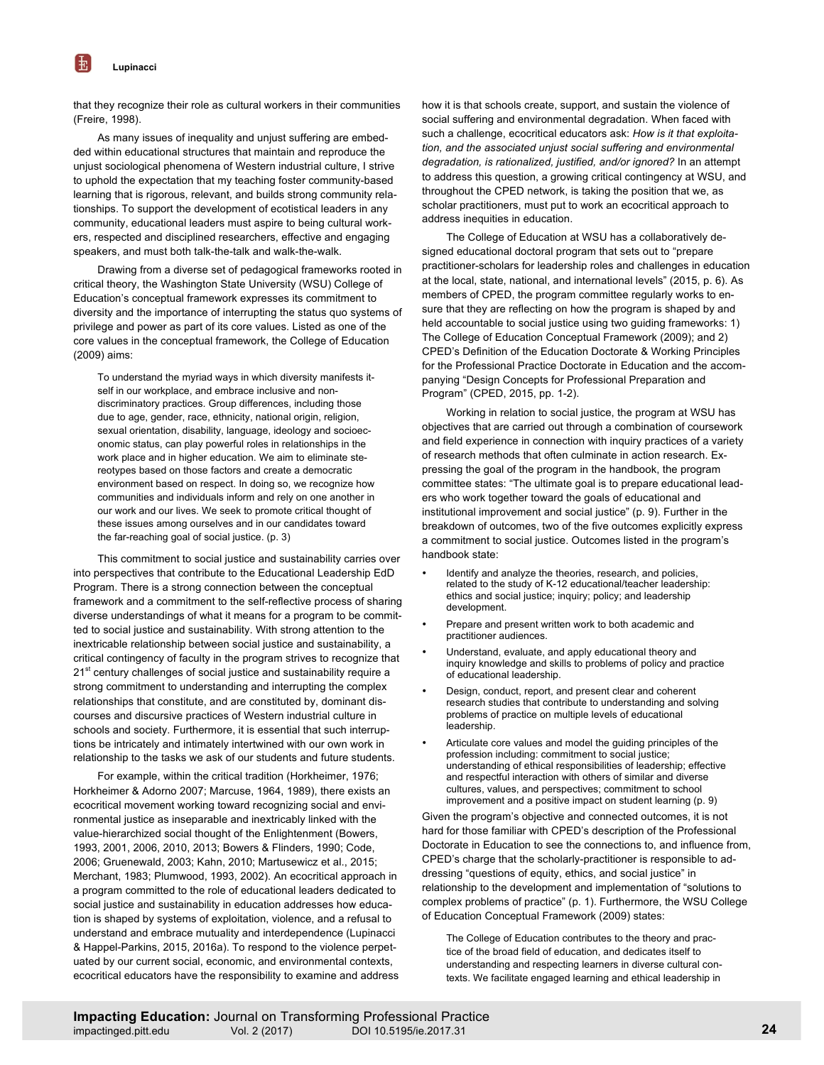

that they recognize their role as cultural workers in their communities (Freire, 1998).

As many issues of inequality and unjust suffering are embedded within educational structures that maintain and reproduce the unjust sociological phenomena of Western industrial culture, I strive to uphold the expectation that my teaching foster community-based learning that is rigorous, relevant, and builds strong community relationships. To support the development of ecotistical leaders in any community, educational leaders must aspire to being cultural workers, respected and disciplined researchers, effective and engaging speakers, and must both talk-the-talk and walk-the-walk.

Drawing from a diverse set of pedagogical frameworks rooted in critical theory, the Washington State University (WSU) College of Education's conceptual framework expresses its commitment to diversity and the importance of interrupting the status quo systems of privilege and power as part of its core values. Listed as one of the core values in the conceptual framework, the College of Education (2009) aims:

To understand the myriad ways in which diversity manifests itself in our workplace, and embrace inclusive and nondiscriminatory practices. Group differences, including those due to age, gender, race, ethnicity, national origin, religion, sexual orientation, disability, language, ideology and socioeconomic status, can play powerful roles in relationships in the work place and in higher education. We aim to eliminate stereotypes based on those factors and create a democratic environment based on respect. In doing so, we recognize how communities and individuals inform and rely on one another in our work and our lives. We seek to promote critical thought of these issues among ourselves and in our candidates toward the far-reaching goal of social justice. (p. 3)

This commitment to social justice and sustainability carries over into perspectives that contribute to the Educational Leadership EdD Program. There is a strong connection between the conceptual framework and a commitment to the self-reflective process of sharing diverse understandings of what it means for a program to be committed to social justice and sustainability. With strong attention to the inextricable relationship between social justice and sustainability, a critical contingency of faculty in the program strives to recognize that 21<sup>st</sup> century challenges of social justice and sustainability require a strong commitment to understanding and interrupting the complex relationships that constitute, and are constituted by, dominant discourses and discursive practices of Western industrial culture in schools and society. Furthermore, it is essential that such interruptions be intricately and intimately intertwined with our own work in relationship to the tasks we ask of our students and future students.

For example, within the critical tradition (Horkheimer, 1976; Horkheimer & Adorno 2007; Marcuse, 1964, 1989), there exists an ecocritical movement working toward recognizing social and environmental justice as inseparable and inextricably linked with the value-hierarchized social thought of the Enlightenment (Bowers, 1993, 2001, 2006, 2010, 2013; Bowers & Flinders, 1990; Code, 2006; Gruenewald, 2003; Kahn, 2010; Martusewicz et al., 2015; Merchant, 1983; Plumwood, 1993, 2002). An ecocritical approach in a program committed to the role of educational leaders dedicated to social justice and sustainability in education addresses how education is shaped by systems of exploitation, violence, and a refusal to understand and embrace mutuality and interdependence (Lupinacci & Happel-Parkins, 2015, 2016a). To respond to the violence perpetuated by our current social, economic, and environmental contexts, ecocritical educators have the responsibility to examine and address how it is that schools create, support, and sustain the violence of social suffering and environmental degradation. When faced with such a challenge, ecocritical educators ask: *How is it that exploitation, and the associated unjust social suffering and environmental degradation, is rationalized, justified, and/or ignored?* In an attempt to address this question, a growing critical contingency at WSU, and throughout the CPED network, is taking the position that we, as scholar practitioners, must put to work an ecocritical approach to address inequities in education.

The College of Education at WSU has a collaboratively designed educational doctoral program that sets out to "prepare practitioner-scholars for leadership roles and challenges in education at the local, state, national, and international levels" (2015, p. 6). As members of CPED, the program committee regularly works to ensure that they are reflecting on how the program is shaped by and held accountable to social justice using two guiding frameworks: 1) The College of Education Conceptual Framework (2009); and 2) CPED's Definition of the Education Doctorate & Working Principles for the Professional Practice Doctorate in Education and the accompanying "Design Concepts for Professional Preparation and Program" (CPED, 2015, pp. 1-2).

Working in relation to social justice, the program at WSU has objectives that are carried out through a combination of coursework and field experience in connection with inquiry practices of a variety of research methods that often culminate in action research. Expressing the goal of the program in the handbook, the program committee states: "The ultimate goal is to prepare educational leaders who work together toward the goals of educational and institutional improvement and social justice" (p. 9). Further in the breakdown of outcomes, two of the five outcomes explicitly express a commitment to social justice. Outcomes listed in the program's handbook state:

- Identify and analyze the theories, research, and policies, related to the study of K-12 educational/teacher leadership: ethics and social justice; inquiry; policy; and leadership development.
- Prepare and present written work to both academic and practitioner audiences.
- Understand, evaluate, and apply educational theory and inquiry knowledge and skills to problems of policy and practice of educational leadership.
- Design, conduct, report, and present clear and coherent research studies that contribute to understanding and solving problems of practice on multiple levels of educational leadership.
- Articulate core values and model the guiding principles of the profession including: commitment to social justice; understanding of ethical responsibilities of leadership; effective and respectful interaction with others of similar and diverse cultures, values, and perspectives; commitment to school improvement and a positive impact on student learning (p. 9)

Given the program's objective and connected outcomes, it is not hard for those familiar with CPED's description of the Professional Doctorate in Education to see the connections to, and influence from, CPED's charge that the scholarly-practitioner is responsible to addressing "questions of equity, ethics, and social justice" in relationship to the development and implementation of "solutions to complex problems of practice" (p. 1). Furthermore, the WSU College of Education Conceptual Framework (2009) states:

The College of Education contributes to the theory and practice of the broad field of education, and dedicates itself to understanding and respecting learners in diverse cultural contexts. We facilitate engaged learning and ethical leadership in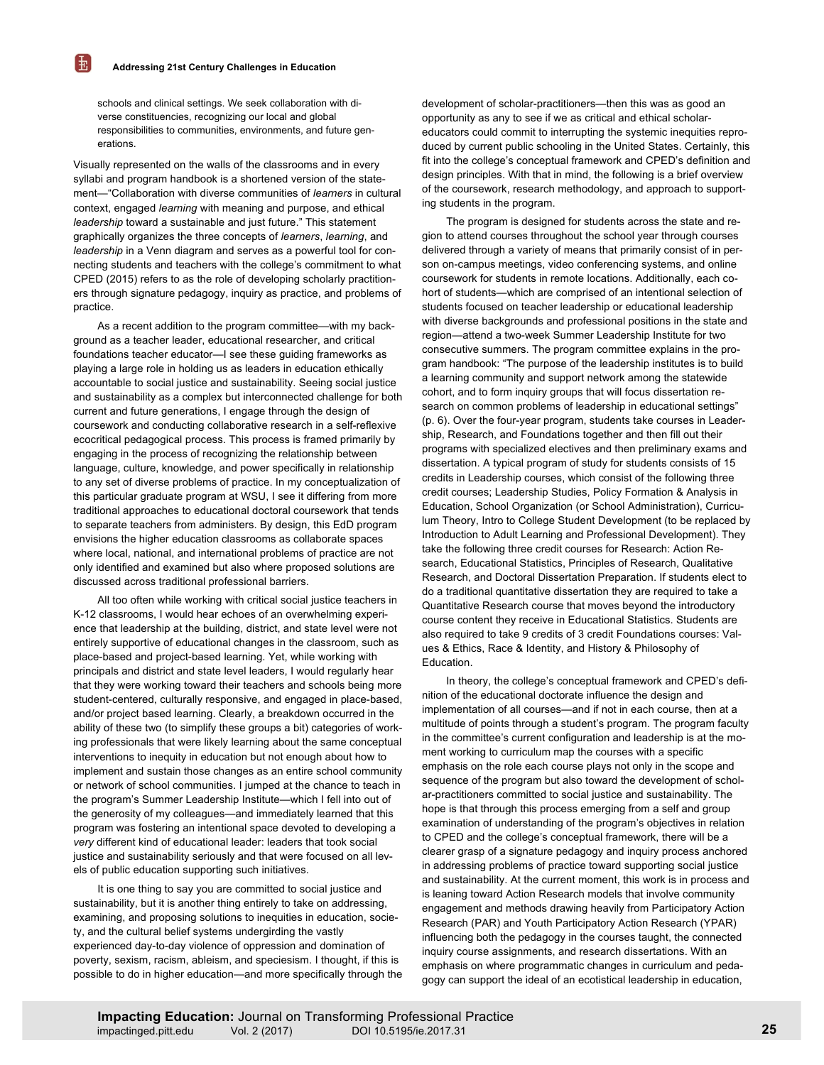围

schools and clinical settings. We seek collaboration with diverse constituencies, recognizing our local and global responsibilities to communities, environments, and future generations.

Visually represented on the walls of the classrooms and in every syllabi and program handbook is a shortened version of the statement—"Collaboration with diverse communities of *learners* in cultural context, engaged *learning* with meaning and purpose, and ethical *leadership* toward a sustainable and just future." This statement graphically organizes the three concepts of *learners*, *learning*, and *leadership* in a Venn diagram and serves as a powerful tool for connecting students and teachers with the college's commitment to what CPED (2015) refers to as the role of developing scholarly practitioners through signature pedagogy, inquiry as practice, and problems of practice.

As a recent addition to the program committee—with my background as a teacher leader, educational researcher, and critical foundations teacher educator—I see these guiding frameworks as playing a large role in holding us as leaders in education ethically accountable to social justice and sustainability. Seeing social justice and sustainability as a complex but interconnected challenge for both current and future generations, I engage through the design of coursework and conducting collaborative research in a self-reflexive ecocritical pedagogical process. This process is framed primarily by engaging in the process of recognizing the relationship between language, culture, knowledge, and power specifically in relationship to any set of diverse problems of practice. In my conceptualization of this particular graduate program at WSU, I see it differing from more traditional approaches to educational doctoral coursework that tends to separate teachers from administers. By design, this EdD program envisions the higher education classrooms as collaborate spaces where local, national, and international problems of practice are not only identified and examined but also where proposed solutions are discussed across traditional professional barriers.

All too often while working with critical social justice teachers in K-12 classrooms, I would hear echoes of an overwhelming experience that leadership at the building, district, and state level were not entirely supportive of educational changes in the classroom, such as place-based and project-based learning. Yet, while working with principals and district and state level leaders, I would regularly hear that they were working toward their teachers and schools being more student-centered, culturally responsive, and engaged in place-based, and/or project based learning. Clearly, a breakdown occurred in the ability of these two (to simplify these groups a bit) categories of working professionals that were likely learning about the same conceptual interventions to inequity in education but not enough about how to implement and sustain those changes as an entire school community or network of school communities. I jumped at the chance to teach in the program's Summer Leadership Institute—which I fell into out of the generosity of my colleagues—and immediately learned that this program was fostering an intentional space devoted to developing a *very* different kind of educational leader: leaders that took social justice and sustainability seriously and that were focused on all levels of public education supporting such initiatives.

It is one thing to say you are committed to social justice and sustainability, but it is another thing entirely to take on addressing, examining, and proposing solutions to inequities in education, society, and the cultural belief systems undergirding the vastly experienced day-to-day violence of oppression and domination of poverty, sexism, racism, ableism, and speciesism. I thought, if this is possible to do in higher education—and more specifically through the development of scholar-practitioners—then this was as good an opportunity as any to see if we as critical and ethical scholareducators could commit to interrupting the systemic inequities reproduced by current public schooling in the United States. Certainly, this fit into the college's conceptual framework and CPED's definition and design principles. With that in mind, the following is a brief overview of the coursework, research methodology, and approach to supporting students in the program.

The program is designed for students across the state and region to attend courses throughout the school year through courses delivered through a variety of means that primarily consist of in person on-campus meetings, video conferencing systems, and online coursework for students in remote locations. Additionally, each cohort of students—which are comprised of an intentional selection of students focused on teacher leadership or educational leadership with diverse backgrounds and professional positions in the state and region—attend a two-week Summer Leadership Institute for two consecutive summers. The program committee explains in the program handbook: "The purpose of the leadership institutes is to build a learning community and support network among the statewide cohort, and to form inquiry groups that will focus dissertation research on common problems of leadership in educational settings" (p. 6). Over the four-year program, students take courses in Leadership, Research, and Foundations together and then fill out their programs with specialized electives and then preliminary exams and dissertation. A typical program of study for students consists of 15 credits in Leadership courses, which consist of the following three credit courses; Leadership Studies, Policy Formation & Analysis in Education, School Organization (or School Administration), Curriculum Theory, Intro to College Student Development (to be replaced by Introduction to Adult Learning and Professional Development). They take the following three credit courses for Research: Action Research, Educational Statistics, Principles of Research, Qualitative Research, and Doctoral Dissertation Preparation. If students elect to do a traditional quantitative dissertation they are required to take a Quantitative Research course that moves beyond the introductory course content they receive in Educational Statistics. Students are also required to take 9 credits of 3 credit Foundations courses: Values & Ethics, Race & Identity, and History & Philosophy of Education.

In theory, the college's conceptual framework and CPED's definition of the educational doctorate influence the design and implementation of all courses—and if not in each course, then at a multitude of points through a student's program. The program faculty in the committee's current configuration and leadership is at the moment working to curriculum map the courses with a specific emphasis on the role each course plays not only in the scope and sequence of the program but also toward the development of scholar-practitioners committed to social justice and sustainability. The hope is that through this process emerging from a self and group examination of understanding of the program's objectives in relation to CPED and the college's conceptual framework, there will be a clearer grasp of a signature pedagogy and inquiry process anchored in addressing problems of practice toward supporting social justice and sustainability. At the current moment, this work is in process and is leaning toward Action Research models that involve community engagement and methods drawing heavily from Participatory Action Research (PAR) and Youth Participatory Action Research (YPAR) influencing both the pedagogy in the courses taught, the connected inquiry course assignments, and research dissertations. With an emphasis on where programmatic changes in curriculum and pedagogy can support the ideal of an ecotistical leadership in education,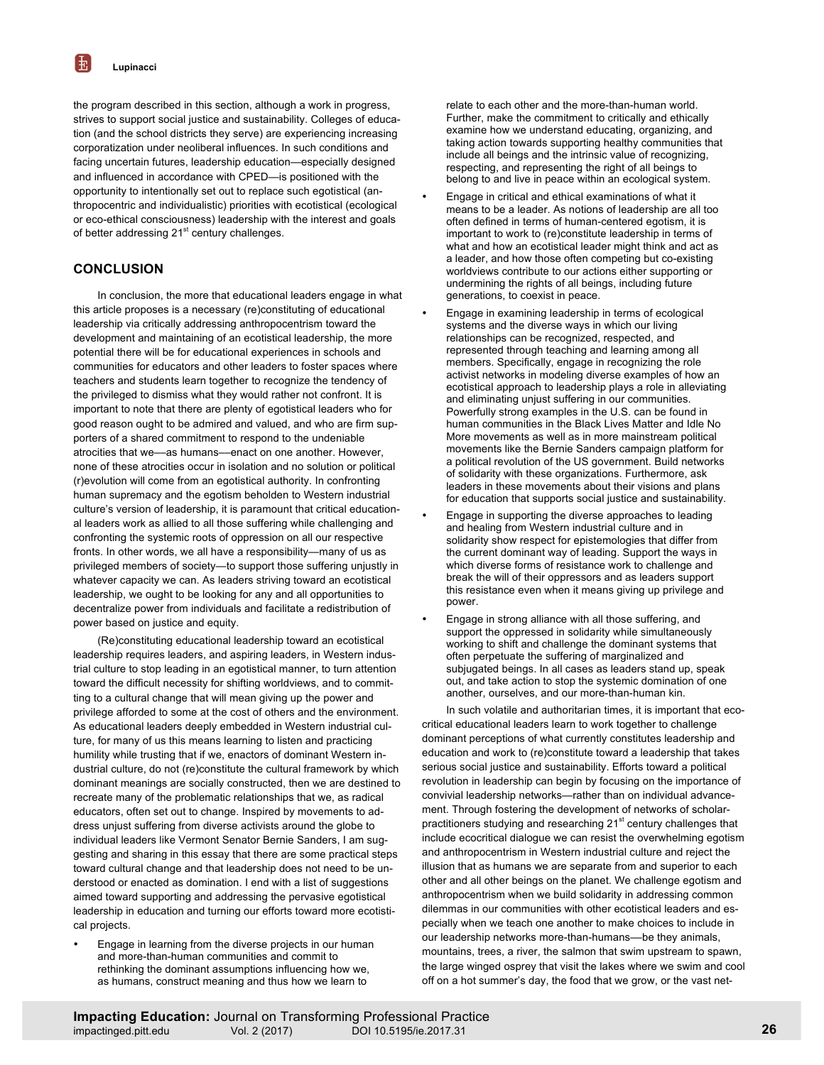

the program described in this section, although a work in progress, strives to support social justice and sustainability. Colleges of education (and the school districts they serve) are experiencing increasing corporatization under neoliberal influences. In such conditions and facing uncertain futures, leadership education—especially designed and influenced in accordance with CPED—is positioned with the opportunity to intentionally set out to replace such egotistical (anthropocentric and individualistic) priorities with ecotistical (ecological or eco-ethical consciousness) leadership with the interest and goals of better addressing 21<sup>st</sup> century challenges.

## **CONCLUSION**

In conclusion, the more that educational leaders engage in what this article proposes is a necessary (re)constituting of educational leadership via critically addressing anthropocentrism toward the development and maintaining of an ecotistical leadership, the more potential there will be for educational experiences in schools and communities for educators and other leaders to foster spaces where teachers and students learn together to recognize the tendency of the privileged to dismiss what they would rather not confront. It is important to note that there are plenty of egotistical leaders who for good reason ought to be admired and valued, and who are firm supporters of a shared commitment to respond to the undeniable atrocities that we––as humans––enact on one another. However, none of these atrocities occur in isolation and no solution or political (r)evolution will come from an egotistical authority. In confronting human supremacy and the egotism beholden to Western industrial culture's version of leadership, it is paramount that critical educational leaders work as allied to all those suffering while challenging and confronting the systemic roots of oppression on all our respective fronts. In other words, we all have a responsibility—many of us as privileged members of society—to support those suffering unjustly in whatever capacity we can. As leaders striving toward an ecotistical leadership, we ought to be looking for any and all opportunities to decentralize power from individuals and facilitate a redistribution of power based on justice and equity.

(Re)constituting educational leadership toward an ecotistical leadership requires leaders, and aspiring leaders, in Western industrial culture to stop leading in an egotistical manner, to turn attention toward the difficult necessity for shifting worldviews, and to committing to a cultural change that will mean giving up the power and privilege afforded to some at the cost of others and the environment. As educational leaders deeply embedded in Western industrial culture, for many of us this means learning to listen and practicing humility while trusting that if we, enactors of dominant Western industrial culture, do not (re)constitute the cultural framework by which dominant meanings are socially constructed, then we are destined to recreate many of the problematic relationships that we, as radical educators, often set out to change. Inspired by movements to address unjust suffering from diverse activists around the globe to individual leaders like Vermont Senator Bernie Sanders, I am suggesting and sharing in this essay that there are some practical steps toward cultural change and that leadership does not need to be understood or enacted as domination. I end with a list of suggestions aimed toward supporting and addressing the pervasive egotistical leadership in education and turning our efforts toward more ecotistical projects.

• Engage in learning from the diverse projects in our human and more-than-human communities and commit to rethinking the dominant assumptions influencing how we, as humans, construct meaning and thus how we learn to

relate to each other and the more-than-human world. Further, make the commitment to critically and ethically examine how we understand educating, organizing, and taking action towards supporting healthy communities that include all beings and the intrinsic value of recognizing, respecting, and representing the right of all beings to belong to and live in peace within an ecological system.

- Engage in critical and ethical examinations of what it means to be a leader. As notions of leadership are all too often defined in terms of human-centered egotism, it is important to work to (re)constitute leadership in terms of what and how an ecotistical leader might think and act as a leader, and how those often competing but co-existing worldviews contribute to our actions either supporting or undermining the rights of all beings, including future generations, to coexist in peace.
- Engage in examining leadership in terms of ecological systems and the diverse ways in which our living relationships can be recognized, respected, and represented through teaching and learning among all members. Specifically, engage in recognizing the role activist networks in modeling diverse examples of how an ecotistical approach to leadership plays a role in alleviating and eliminating unjust suffering in our communities. Powerfully strong examples in the U.S. can be found in human communities in the Black Lives Matter and Idle No More movements as well as in more mainstream political movements like the Bernie Sanders campaign platform for a political revolution of the US government. Build networks of solidarity with these organizations. Furthermore, ask leaders in these movements about their visions and plans for education that supports social justice and sustainability.
- Engage in supporting the diverse approaches to leading and healing from Western industrial culture and in solidarity show respect for epistemologies that differ from the current dominant way of leading. Support the ways in which diverse forms of resistance work to challenge and break the will of their oppressors and as leaders support this resistance even when it means giving up privilege and power.
- Engage in strong alliance with all those suffering, and support the oppressed in solidarity while simultaneously working to shift and challenge the dominant systems that often perpetuate the suffering of marginalized and subjugated beings. In all cases as leaders stand up, speak out, and take action to stop the systemic domination of one another, ourselves, and our more-than-human kin.

In such volatile and authoritarian times, it is important that ecocritical educational leaders learn to work together to challenge dominant perceptions of what currently constitutes leadership and education and work to (re)constitute toward a leadership that takes serious social justice and sustainability. Efforts toward a political revolution in leadership can begin by focusing on the importance of convivial leadership networks—rather than on individual advancement. Through fostering the development of networks of scholarpractitioners studying and researching 21<sup>st</sup> century challenges that include ecocritical dialogue we can resist the overwhelming egotism and anthropocentrism in Western industrial culture and reject the illusion that as humans we are separate from and superior to each other and all other beings on the planet. We challenge egotism and anthropocentrism when we build solidarity in addressing common dilemmas in our communities with other ecotistical leaders and especially when we teach one another to make choices to include in our leadership networks more-than-humans––be they animals, mountains, trees, a river, the salmon that swim upstream to spawn, the large winged osprey that visit the lakes where we swim and cool off on a hot summer's day, the food that we grow, or the vast net